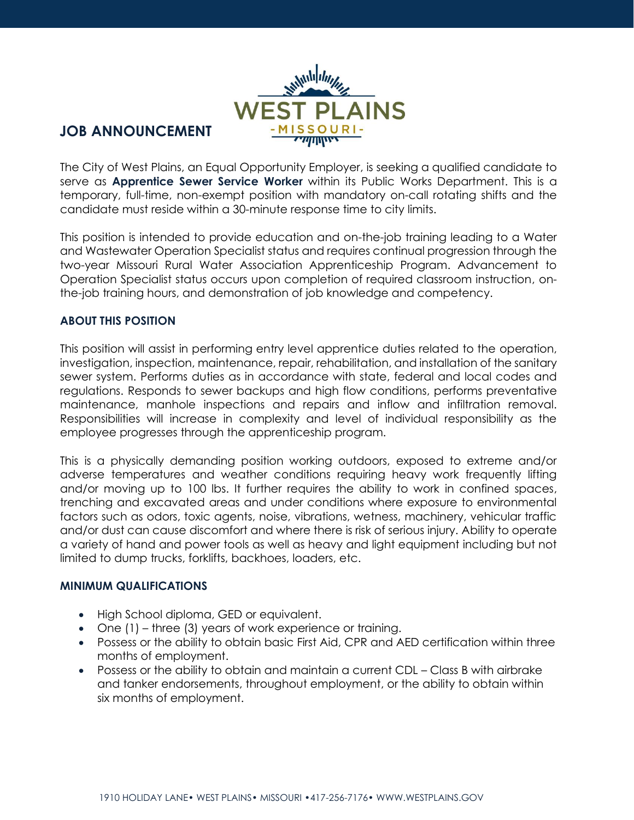

# **JOB ANNOUNCEMENT**

The City of West Plains, an Equal Opportunity Employer, is seeking a qualified candidate to serve as **Apprentice Sewer Service Worker** within its Public Works Department. This is a temporary, full-time, non-exempt position with mandatory on-call rotating shifts and the candidate must reside within a 30-minute response time to city limits.

This position is intended to provide education and on-the-job training leading to a Water and Wastewater Operation Specialist status and requires continual progression through the two-year Missouri Rural Water Association Apprenticeship Program. Advancement to Operation Specialist status occurs upon completion of required classroom instruction, onthe-job training hours, and demonstration of job knowledge and competency.

## **ABOUT THIS POSITION**

This position will assist in performing entry level apprentice duties related to the operation, investigation, inspection, maintenance, repair, rehabilitation, and installation of the sanitary sewer system. Performs duties as in accordance with state, federal and local codes and regulations. Responds to sewer backups and high flow conditions, performs preventative maintenance, manhole inspections and repairs and inflow and infiltration removal. Responsibilities will increase in complexity and level of individual responsibility as the employee progresses through the apprenticeship program.

This is a physically demanding position working outdoors, exposed to extreme and/or adverse temperatures and weather conditions requiring heavy work frequently lifting and/or moving up to 100 lbs. It further requires the ability to work in confined spaces, trenching and excavated areas and under conditions where exposure to environmental factors such as odors, toxic agents, noise, vibrations, wetness, machinery, vehicular traffic and/or dust can cause discomfort and where there is risk of serious injury. Ability to operate a variety of hand and power tools as well as heavy and light equipment including but not limited to dump trucks, forklifts, backhoes, loaders, etc.

#### **MINIMUM QUALIFICATIONS**

- High School diploma, GED or equivalent.
- One (1) three (3) years of work experience or training.
- Possess or the ability to obtain basic First Aid, CPR and AED certification within three months of employment.
- Possess or the ability to obtain and maintain a current CDL Class B with airbrake and tanker endorsements, throughout employment, or the ability to obtain within six months of employment.